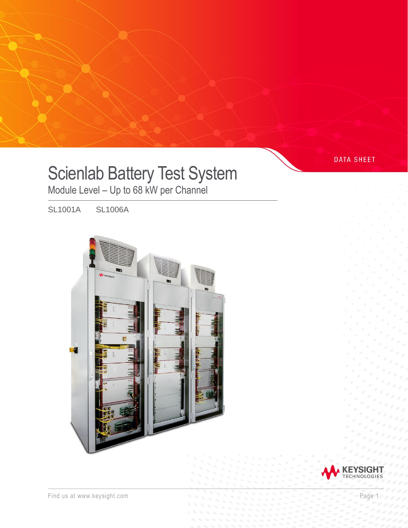# Scienlab Battery Test System

Module Level – Up to 68 kW per Channel

SL1001A SL1006A





**DATA SHEET**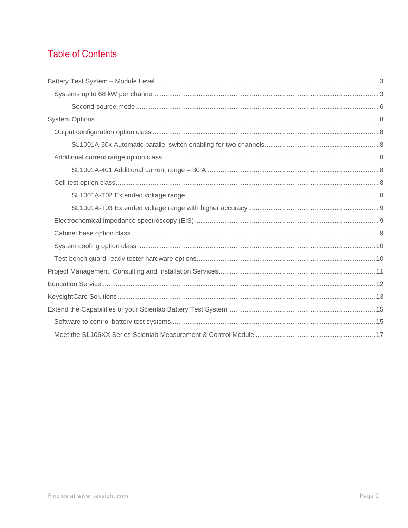# **Table of Contents**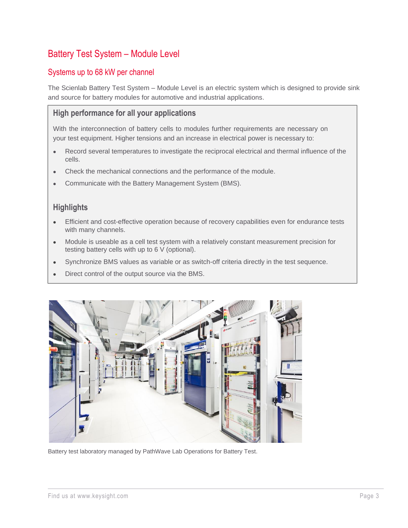# <span id="page-2-0"></span>Battery Test System – Module Level

# <span id="page-2-1"></span>Systems up to 68 kW per channel

The Scienlab Battery Test System – Module Level is an electric system which is designed to provide sink and source for battery modules for automotive and industrial applications.

## **High performance for all your applications**

With the interconnection of battery cells to modules further requirements are necessary on your test equipment. Higher tensions and an increase in electrical power is necessary to:

- Record several temperatures to investigate the reciprocal electrical and thermal influence of the cells.
- Check the mechanical connections and the performance of the module.
- Communicate with the Battery Management System (BMS).

# **Highlights**

- Efficient and cost-effective operation because of recovery capabilities even for endurance tests with many channels.
- Module is useable as a cell test system with a relatively constant measurement precision for testing battery cells with up to 6 V (optional).
- Synchronize BMS values as variable or as switch-off criteria directly in the test sequence.
- Direct control of the output source via the BMS.



Battery test laboratory managed by PathWave Lab Operations for Battery Test.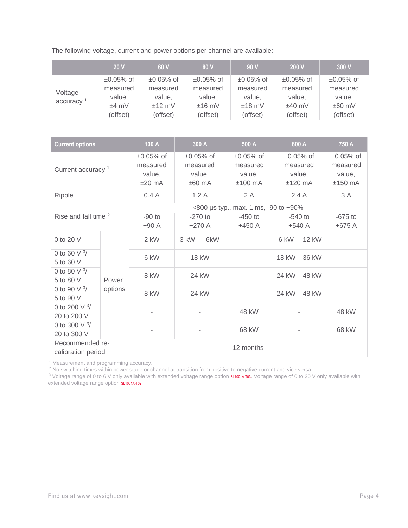The following voltage, current and power options per channel are available:

|                                  | 20V             | 60 V            | 80 V            | 90V             | 200 V           | 300V            |
|----------------------------------|-----------------|-----------------|-----------------|-----------------|-----------------|-----------------|
| Voltage<br>accuracy <sup>1</sup> | $\pm 0.05\%$ of | $\pm 0.05\%$ of | $\pm 0.05\%$ of | $\pm 0.05\%$ of | $\pm 0.05\%$ of | $\pm 0.05\%$ of |
|                                  | measured        | measured        | measured        | measured        | measured        | measured        |
|                                  | value,          | value,          | value,          | value,          | value,          | value,          |
|                                  | $±4$ mV         | $±12$ mV        | $±16$ mV        | $±18$ mV        | $±40$ mV        | $±60$ mV        |
|                                  | (offset)        | (offset)        | (offset)        | (offset)        | (offset)        | (offset)        |

| <b>Current options</b>                |         | 100 A                                         | 300 A                                         |     | 500 A                                              |                                                | 600 A        | 750 A                                          |
|---------------------------------------|---------|-----------------------------------------------|-----------------------------------------------|-----|----------------------------------------------------|------------------------------------------------|--------------|------------------------------------------------|
| Current accuracy <sup>1</sup>         |         | $±0.05%$ of<br>measured<br>value,<br>$±20$ mA | $±0.05%$ of<br>measured<br>value,<br>$±60$ mA |     | $\pm 0.05\%$ of<br>measured<br>value,<br>$±100$ mA | $±0.05%$ of<br>measured<br>value,<br>$±120$ mA |              | $±0.05%$ of<br>measured<br>value,<br>$±150$ mA |
| Ripple                                |         | 0.4A                                          | 1.2A                                          |     | 2A                                                 | 2.4A                                           |              | 3 A                                            |
|                                       |         |                                               |                                               |     | <800 µs typ., max. 1 ms, -90 to +90%               |                                                |              |                                                |
| Rise and fall time <sup>2</sup>       |         | $-90$ to<br>$+90A$                            | $-270$ to<br>$+270A$                          |     | $-450$ to<br>$+450$ A                              | $-540$ to<br>$+540A$                           |              | $-675$ to<br>$+675A$                           |
| 0 to 20 V                             |         | 2 kW                                          | 3 kW                                          | 6kW |                                                    | 6 kW                                           | <b>12 kW</b> |                                                |
| 0 to 60 $\sqrt{3}$<br>5 to 60 V       |         | 6 kW                                          | 18 kW<br>24 kW                                |     |                                                    | <b>18 kW</b>                                   | 36 kW        |                                                |
| 0 to 80 V $^{3}/$<br>5 to 80 V        | Power   | 8 kW                                          |                                               |     |                                                    | 24 kW                                          | 48 kW        |                                                |
| 0 to 90 $\sqrt{3}$<br>5 to 90 V       | options | 8 kW                                          | 24 kW                                         |     |                                                    | 24 kW                                          | 48 kW        |                                                |
| 0 to 200 V $3/$<br>20 to 200 V        |         |                                               |                                               |     | 48 kW                                              |                                                |              | 48 kW                                          |
| 0 to 300 V $3/$<br>20 to 300 V        |         |                                               | $\overline{\phantom{a}}$                      |     | 68 kW                                              |                                                |              | 68 kW                                          |
| Recommended re-<br>calibration period |         | 12 months                                     |                                               |     |                                                    |                                                |              |                                                |

<sup>1</sup> Measurement and programming accuracy.

 $2$  No switching times within power stage or channel at transition from positive to negative current and vice versa.

<sup>3</sup> Voltage range of 0 to 6 V only available with extended voltage range option s**L1001A-T03**. Voltage range of 0 to 20 V only available with extended voltage range option [SL1001A-T02](#page-8-1).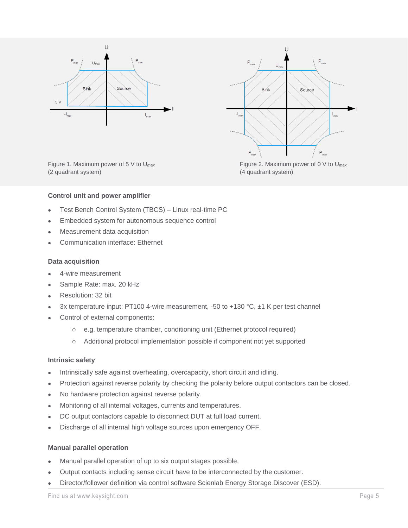



(2 quadrant system) (4 quadrant system)

Figure 1. Maximum power of 5 V to U<sub>max</sub> Figure 2. Maximum power of 0 V to U<sub>max</sub>

#### **Control unit and power amplifier**

- Test Bench Control System (TBCS) Linux real-time PC
- Embedded system for autonomous sequence control
- Measurement data acquisition
- Communication interface: Ethernet

#### **Data acquisition**

- 4-wire measurement
- Sample Rate: max. 20 kHz
- Resolution: 32 bit
- 3x temperature input: PT100 4-wire measurement, -50 to +130 °C, ±1 K per test channel
- Control of external components:
	- o e.g. temperature chamber, conditioning unit (Ethernet protocol required)
	- o Additional protocol implementation possible if component not yet supported

#### **Intrinsic safety**

- Intrinsically safe against overheating, overcapacity, short circuit and idling.
- Protection against reverse polarity by checking the polarity before output contactors can be closed.
- No hardware protection against reverse polarity.
- Monitoring of all internal voltages, currents and temperatures.
- DC output contactors capable to disconnect DUT at full load current.
- Discharge of all internal high voltage sources upon emergency OFF.

#### **Manual parallel operation**

- Manual parallel operation of up to six output stages possible.
- Output contacts including sense circuit have to be interconnected by the customer.
- Director/follower definition via control software Scienlab Energy Storage Discover (ESD).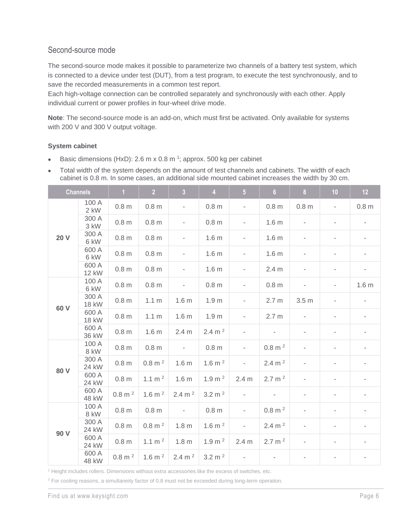# <span id="page-5-0"></span>Second-source mode

The second-source mode makes it possible to parameterize two channels of a battery test system, which is connected to a device under test (DUT), from a test program, to execute the test synchronously, and to save the recorded measurements in a common test report.

Each high-voltage connection can be controlled separately and synchronously with each other. Apply individual current or power profiles in four-wheel drive mode.

**Note**: The second-source mode is an add-on, which must first be activated. Only available for systems with 200 V and 300 V output voltage.

#### **System cabinet**

- Basic dimensions (HxD): 2.6 m x 0.8 m<sup>1</sup>; approx. 500 kg per cabinet
- Total width of the system depends on the amount of test channels and cabinets. The width of each cabinet is 0.8 m. In some cases, an additional side mounted cabinet increases the width by 30 cm.

|             | <b>Channels</b>       | 1 <sup>1</sup>    | 2 <sup>2</sup>       | 3 <sup>1</sup>           | $\overline{4}$     | 5 <sup>1</sup>           | 6 <sup>1</sup>              | 8 <sub>1</sub>           | 10                       | 12                       |
|-------------|-----------------------|-------------------|----------------------|--------------------------|--------------------|--------------------------|-----------------------------|--------------------------|--------------------------|--------------------------|
|             | 100 A<br>2 kW         | 0.8 <sub>m</sub>  | 0.8 <sub>m</sub>     |                          | 0.8 <sub>m</sub>   | $\overline{\phantom{a}}$ | 0.8 <sub>m</sub>            | 0.8 <sub>m</sub>         |                          | 0.8 <sub>m</sub>         |
| <b>20 V</b> | 300 A<br>3 kW         | 0.8 <sub>m</sub>  | 0.8 <sub>m</sub>     | $\overline{\phantom{a}}$ | 0.8 <sub>m</sub>   | $\overline{\phantom{a}}$ | 1.6 <sub>m</sub>            | $\sim$                   |                          | $\overline{\phantom{a}}$ |
|             | 300 A<br>6 kW         | 0.8 <sub>m</sub>  | 0.8 <sub>m</sub>     | $\overline{\phantom{a}}$ | 1.6 <sub>m</sub>   | $\overline{\phantom{a}}$ | 1.6 <sub>m</sub>            |                          | $\overline{\phantom{0}}$ |                          |
|             | 600 A<br>6 kW         | 0.8 <sub>m</sub>  | 0.8 <sub>m</sub>     | $\overline{\phantom{a}}$ | 1.6 <sub>m</sub>   | $\overline{\phantom{a}}$ | 1.6 <sub>m</sub>            |                          | $\overline{\phantom{0}}$ |                          |
|             | 600 A<br><b>12 kW</b> | 0.8 <sub>m</sub>  | 0.8 <sub>m</sub>     | $\overline{\phantom{a}}$ | 1.6 <sub>m</sub>   | $\overline{\phantom{a}}$ | 2.4 <sub>m</sub>            |                          | $\overline{\phantom{a}}$ | $\overline{\phantom{a}}$ |
|             | 100 A<br>6 kW         | 0.8 <sub>m</sub>  | 0.8 <sub>m</sub>     | $\sim$                   | 0.8 <sub>m</sub>   | $\overline{\phantom{a}}$ | 0.8 <sub>m</sub>            | $\sim$                   | $\overline{\phantom{m}}$ | 1.6 <sub>m</sub>         |
| 60 V        | 300 A<br><b>18 kW</b> | 0.8 <sub>m</sub>  | 1.1 <sub>m</sub>     | 1.6 <sub>m</sub>         | 1.9 <sub>m</sub>   | $\overline{\phantom{a}}$ | 2.7 <sub>m</sub>            | 3.5 <sub>m</sub>         | $\overline{\phantom{a}}$ | $\overline{\phantom{a}}$ |
|             | 600 A<br><b>18 kW</b> | 0.8 <sub>m</sub>  | 1.1 <sub>m</sub>     | 1.6 <sub>m</sub>         | 1.9 <sub>m</sub>   | $\overline{\phantom{a}}$ | 2.7 <sub>m</sub>            |                          | $\overline{\phantom{0}}$ | $\overline{\phantom{a}}$ |
|             | 600 A<br>36 kW        | 0.8 <sub>m</sub>  | 1.6 <sub>m</sub>     | 2.4 <sub>m</sub>         | 2.4 m <sup>2</sup> | $\overline{\phantom{a}}$ | $\overline{\phantom{a}}$    |                          |                          |                          |
|             | 100 A<br>8 kW         | 0.8 <sub>m</sub>  | 0.8 <sub>m</sub>     | $\sim$                   | 0.8 <sub>m</sub>   | $\overline{\phantom{a}}$ | $0.8$ m <sup>2</sup>        |                          |                          |                          |
| 80 V        | 300 A<br>24 kW        | 0.8 <sub>m</sub>  | $0.8$ m <sup>2</sup> | 1.6 <sub>m</sub>         | 1.6 m $^{2}$       | $\overline{\phantom{a}}$ | 2.4 m $^2$                  |                          |                          |                          |
|             | 600 A<br>24 kW        | 0.8 <sub>m</sub>  | $1.1 \text{ m}^2$    | 1.6 <sub>m</sub>         | 1.9 m <sup>2</sup> | 2.4 <sub>m</sub>         | 2.7 m <sup>2</sup>          |                          |                          |                          |
|             | 600 A<br>48 kW        | $0.8$ m $^{2}$    | $1.6 \text{ m}^2$    | 2.4 m $^2$               | $3.2 \text{ m}^2$  | $\mathcal{L}^{\pm}$      | $\mathcal{L}_{\rm{max}}$    | $\overline{\phantom{a}}$ | $\overline{\phantom{a}}$ |                          |
|             | 100 A<br>8 kW         | 0.8 <sub>m</sub>  | 0.8 <sub>m</sub>     | $\sim 10^{-1}$           | 0.8 <sub>m</sub>   | $\sim$                   | $0.8 \text{ m}^2$           | $\sim$                   | $\overline{\phantom{m}}$ |                          |
| 90 V        | 300 A<br>24 kW        | 0.8 <sub>m</sub>  | $0.8$ m <sup>2</sup> | 1.8 <sub>m</sub>         | $1.6$ m $^{2}$     | $\overline{\phantom{a}}$ | 2.4 m $^2$                  |                          | $\overline{\phantom{0}}$ | $\overline{\phantom{a}}$ |
|             | 600 A<br>24 kW        | 0.8 <sub>m</sub>  | 1.1 m $^2$           | 1.8 <sub>m</sub>         | 1.9 m <sup>2</sup> | 2.4 <sub>m</sub>         | $2.7 \text{ m}^2$           | $\sim$                   | $\overline{\phantom{a}}$ |                          |
|             | 600 A<br>48 kW        | $0.8 \text{ m}^2$ | 1.6 m $^{2}$         | 2.4 m <sup>2</sup>       | $3.2 \text{ m}^2$  | $\sim 100$               | $\mathcal{L}_{\mathcal{A}}$ | $\overline{\phantom{a}}$ | $\overline{\phantom{a}}$ | $\overline{\phantom{0}}$ |

<sup>1</sup> Height includes rollers. Dimensions without extra accessories like the excess of switches, etc.

<sup>2</sup> For cooling reasons, a simultaneity factor of 0.8 must not be exceeded during long-term operation.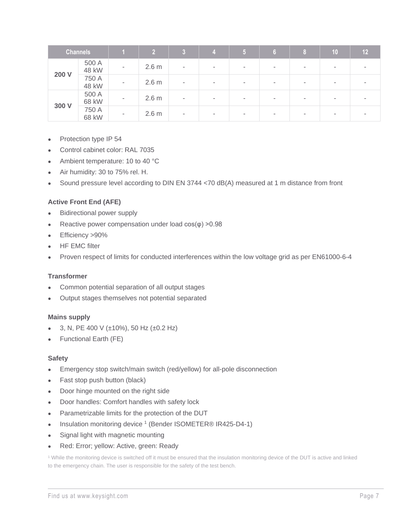|       | <b>Channels</b> |   | $\overline{2}$   | $\overline{3}$           | Ŀy     | $\sqrt{5}$               | 8 <sup>2</sup>           | 10                       | 12 <sub>2</sub> |
|-------|-----------------|---|------------------|--------------------------|--------|--------------------------|--------------------------|--------------------------|-----------------|
| 200 V | 500 A<br>48 kW  | ٠ | 2.6 <sub>m</sub> | $\overline{\phantom{a}}$ | $\sim$ | $\,$                     | ۰                        | $\overline{\phantom{a}}$ |                 |
|       | 750 A<br>48 kW  |   | 2.6 <sub>m</sub> | ٠                        | $\sim$ | $\,$                     | ۰                        | $\sim$                   |                 |
|       | 500 A<br>68 kW  | ٠ | 2.6 <sub>m</sub> | ٠                        | $\sim$ | $\overline{\phantom{a}}$ | $\overline{\phantom{a}}$ | $\sim$                   |                 |
| 300 V | 750 A<br>68 kW  | ٠ | 2.6 <sub>m</sub> | ٠                        | $\sim$ |                          | ۰                        | ٠                        |                 |

- Protection type IP 54
- Control cabinet color: RAL 7035
- Ambient temperature: 10 to 40 °C
- Air humidity: 30 to 75% rel. H.
- Sound pressure level according to DIN EN 3744 <70 dB(A) measured at 1 m distance from front

#### **Active Front End (AFE)**

- Bidirectional power supply
- Reactive power compensation under load  $cos(\varphi) > 0.98$
- Efficiency >90%
- **HF EMC filter**
- Proven respect of limits for conducted interferences within the low voltage grid as per EN61000-6-4

#### **Transformer**

- Common potential separation of all output stages
- Output stages themselves not potential separated

#### **Mains supply**

- 3, N, PE 400 V (±10%), 50 Hz (±0.2 Hz)
- Functional Earth (FE)

#### **Safety**

- Emergency stop switch/main switch (red/yellow) for all-pole disconnection
- Fast stop push button (black)
- Door hinge mounted on the right side
- Door handles: Comfort handles with safety lock
- Parametrizable limits for the protection of the DUT
- Insulation monitoring device <sup>1</sup> (Bender ISOMETER® IR425-D4-1)
- Signal light with magnetic mounting
- Red: Error; yellow: Active, green: Ready

<sup>1</sup> While the monitoring device is switched off it must be ensured that the insulation monitoring device of the DUT is active and linked to the emergency chain. The user is responsible for the safety of the test bench.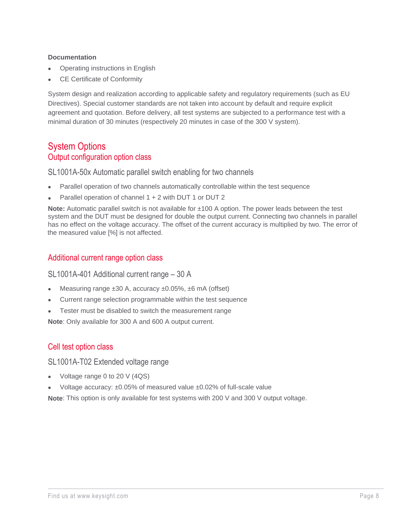#### **Documentation**

- Operating instructions in English
- CE Certificate of Conformity

System design and realization according to applicable safety and regulatory requirements (such as EU Directives). Special customer standards are not taken into account by default and require explicit agreement and quotation. Before delivery, all test systems are subjected to a performance test with a minimal duration of 30 minutes (respectively 20 minutes in case of the 300 V system).

# <span id="page-7-1"></span><span id="page-7-0"></span>System Options Output configuration option class

<span id="page-7-2"></span>SL1001A-50x Automatic parallel switch enabling for two channels

- Parallel operation of two channels automatically controllable within the test sequence
- Parallel operation of channel 1 + 2 with DUT 1 or DUT 2

**Note:** Automatic parallel switch is not available for ±100 A option. The power leads between the test system and the DUT must be designed for double the output current. Connecting two channels in parallel has no effect on the voltage accuracy. The offset of the current accuracy is multiplied by two. The error of the measured value [%] is not affected.

# <span id="page-7-3"></span>Additional current range option class

<span id="page-7-4"></span>SL1001A-401 Additional current range – 30 A

- Measuring range ±30 A, accuracy ±0.05%, ±6 mA (offset)
- Current range selection programmable within the test sequence
- Tester must be disabled to switch the measurement range

**Note**: Only available for 300 A and 600 A output current.

# <span id="page-7-5"></span>Cell test option class

<span id="page-7-6"></span>SL1001A-T02 Extended voltage range

- Voltage range 0 to 20 V (4QS)
- Voltage accuracy:  $\pm 0.05\%$  of measured value  $\pm 0.02\%$  of full-scale value

**Note**: This option is only available for test systems with 200 V and 300 V output voltage.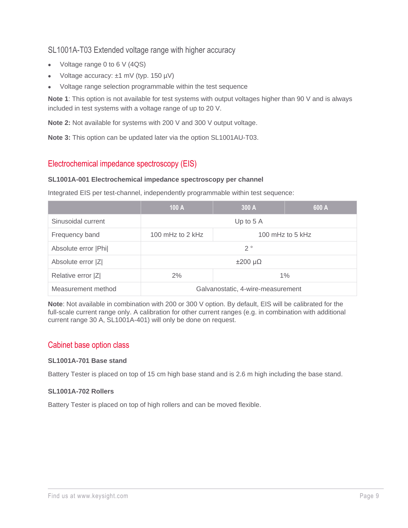# <span id="page-8-0"></span>SL1001A-T03 Extended voltage range with higher accuracy

- Voltage range 0 to 6 V (4QS)
- Voltage accuracy: ±1 mV (typ. 150 µV)
- Voltage range selection programmable within the test sequence

**Note 1**: This option is not available for test systems with output voltages higher than 90 V and is always included in test systems with a voltage range of up to 20 V.

**Note 2:** Not available for systems with 200 V and 300 V output voltage.

**Note 3:** This option can be updated later via the option SL1001AU-T03.

# <span id="page-8-1"></span>Electrochemical impedance spectroscopy (EIS)

#### **SL1001A-001 Electrochemical impedance spectroscopy per channel**

Integrated EIS per test-channel, independently programmable within test sequence:

|                      | 100 A                                    | 300 A | 600 A |  |  |
|----------------------|------------------------------------------|-------|-------|--|--|
| Sinusoidal current   | Up to $5A$                               |       |       |  |  |
| Frequency band       | 100 mHz to $2$ kHz<br>100 mHz to 5 $kHz$ |       |       |  |  |
| Absolute error   Phi | $2^{\circ}$                              |       |       |  |  |
| Absolute error  Z    | $\pm 200 \mu\Omega$                      |       |       |  |  |
| Relative error  Z    | 2%<br>$1\%$                              |       |       |  |  |
| Measurement method   | Galvanostatic, 4-wire-measurement        |       |       |  |  |

**Note**: Not available in combination with 200 or 300 V option. By default, EIS will be calibrated for the full-scale current range only. A calibration for other current ranges (e.g. in combination with additional current range 30 A, SL1001A-401) will only be done on request.

## <span id="page-8-2"></span>Cabinet base option class

#### **SL1001A-701 Base stand**

Battery Tester is placed on top of 15 cm high base stand and is 2.6 m high including the base stand.

#### **SL1001A-702 Rollers**

Battery Tester is placed on top of high rollers and can be moved flexible.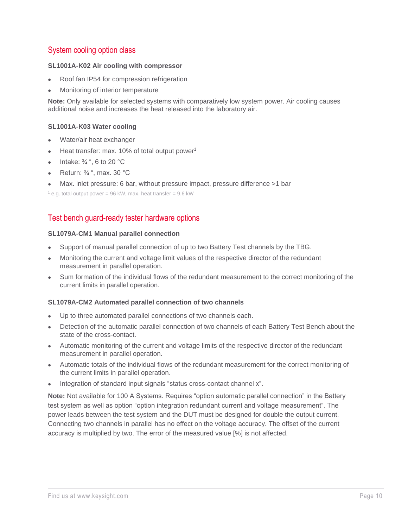# <span id="page-9-0"></span>System cooling option class

#### **SL1001A-K02 Air cooling with compressor**

- Roof fan IP54 for compression refrigeration
- Monitoring of interior temperature

**Note:** Only available for selected systems with comparatively low system power. Air cooling causes additional noise and increases the heat released into the laboratory air.

#### **SL1001A-K03 Water cooling**

- Water/air heat exchanger
- Heat transfer: max.  $10\%$  of total output power<sup>1</sup>
- Intake: ¾ ", 6 to 20 °C
- Return: ¾ ", max. 30 °C
- Max. inlet pressure: 6 bar, without pressure impact, pressure difference >1 bar

 $1$  e.g. total output power = 96 kW, max. heat transfer = 9.6 kW

## <span id="page-9-1"></span>Test bench guard-ready tester hardware options

#### **SL1079A-CM1 Manual parallel connection**

- Support of manual parallel connection of up to two Battery Test channels by the TBG.
- Monitoring the current and voltage limit values of the respective director of the redundant measurement in parallel operation.
- Sum formation of the individual flows of the redundant measurement to the correct monitoring of the current limits in parallel operation.

#### **SL1079A-CM2 Automated parallel connection of two channels**

- Up to three automated parallel connections of two channels each.
- Detection of the automatic parallel connection of two channels of each Battery Test Bench about the state of the cross-contact.
- Automatic monitoring of the current and voltage limits of the respective director of the redundant measurement in parallel operation.
- Automatic totals of the individual flows of the redundant measurement for the correct monitoring of the current limits in parallel operation.
- Integration of standard input signals "status cross-contact channel x".

**Note:** Not available for 100 A Systems. Requires "option automatic parallel connection" in the Battery test system as well as option "option integration redundant current and voltage measurement". The power leads between the test system and the DUT must be designed for double the output current. Connecting two channels in parallel has no effect on the voltage accuracy. The offset of the current accuracy is multiplied by two. The error of the measured value [%] is not affected.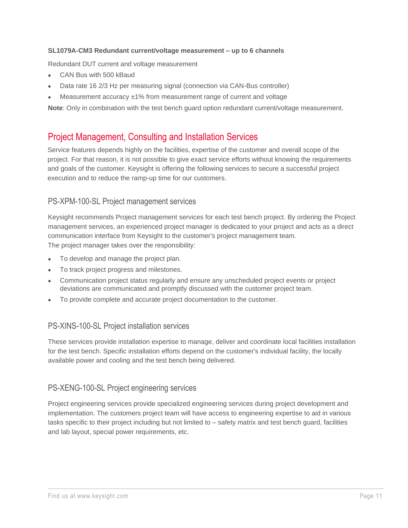#### **SL1079A-CM3 Redundant current/voltage measurement – up to 6 channels**

Redundant DUT current and voltage measurement

- CAN Bus with 500 kBaud
- Data rate 16 2/3 Hz per measuring signal (connection via CAN-Bus controller)
- Measurement accuracy  $±1\%$  from measurement range of current and voltage

**Note**: Only in combination with the test bench guard option redundant current/voltage measurement.

# <span id="page-10-0"></span>Project Management, Consulting and Installation Services

Service features depends highly on the facilities, expertise of the customer and overall scope of the project. For that reason, it is not possible to give exact service efforts without knowing the requirements and goals of the customer. Keysight is offering the following services to secure a successful project execution and to reduce the ramp-up time for our customers.

## PS-XPM-100-SL Project management services

Keysight recommends Project management services for each test bench project. By ordering the Project management services, an experienced project manager is dedicated to your project and acts as a direct communication interface from Keysight to the customer's project management team. The project manager takes over the responsibility:

- To develop and manage the project plan.
- To track project progress and milestones.
- Communication project status regularly and ensure any unscheduled project events or project deviations are communicated and promptly discussed with the customer project team.
- To provide complete and accurate project documentation to the customer.

## PS-XINS-100-SL Project installation services

These services provide installation expertise to manage, deliver and coordinate local facilities installation for the test bench. Specific installation efforts depend on the customer's individual facility, the locally available power and cooling and the test bench being delivered.

## PS-XENG-100-SL Project engineering services

Project engineering services provide specialized engineering services during project development and implementation. The customers project team will have access to engineering expertise to aid in various tasks specific to their project including but not limited to – safety matrix and test bench guard, facilities and lab layout, special power requirements, etc.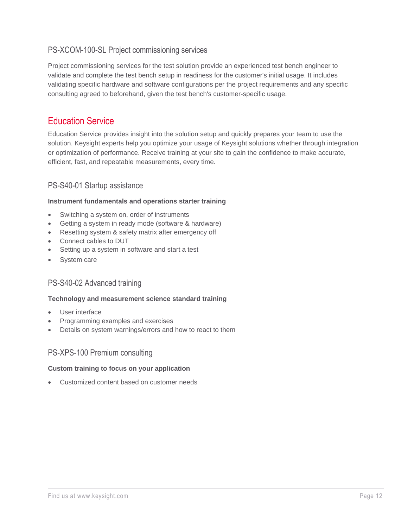# PS-XCOM-100-SL Project commissioning services

Project commissioning services for the test solution provide an experienced test bench engineer to validate and complete the test bench setup in readiness for the customer's initial usage. It includes validating specific hardware and software configurations per the project requirements and any specific consulting agreed to beforehand, given the test bench's customer-specific usage.

# <span id="page-11-0"></span>Education Service

Education Service provides insight into the solution setup and quickly prepares your team to use the solution. Keysight experts help you optimize your usage of Keysight solutions whether through integration or optimization of performance. Receive training at your site to gain the confidence to make accurate, efficient, fast, and repeatable measurements, every time.

# PS-S40-01 Startup assistance

#### **Instrument fundamentals and operations starter training**

- Switching a system on, order of instruments
- Getting a system in ready mode (software & hardware)
- Resetting system & safety matrix after emergency off
- Connect cables to DUT
- Setting up a system in software and start a test
- System care

## PS-S40-02 Advanced training

#### **Technology and measurement science standard training**

- User interface
- Programming examples and exercises
- Details on system warnings/errors and how to react to them

## PS-XPS-100 Premium consulting

#### **Custom training to focus on your application**

• Customized content based on customer needs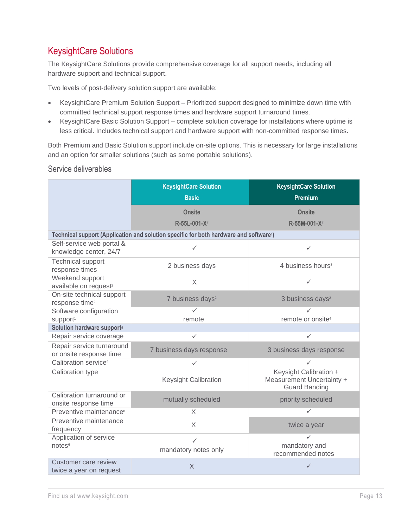# <span id="page-12-0"></span>KeysightCare Solutions

The KeysightCare Solutions provide comprehensive coverage for all support needs, including all hardware support and technical support.

Two levels of post-delivery solution support are available:

- KeysightCare Premium Solution Support Prioritized support designed to minimize down time with committed technical support response times and hardware support turnaround times.
- KeysightCare Basic Solution Support complete solution coverage for installations where uptime is less critical. Includes technical support and hardware support with non-committed response times.

Both Premium and Basic Solution support include on-site options. This is necessary for large installations and an option for smaller solutions (such as some portable solutions).

#### Service deliverables

|                                                         | <b>KeysightCare Solution</b><br><b>Basic</b>                                                       | <b>KeysightCare Solution</b><br>Premium                                     |
|---------------------------------------------------------|----------------------------------------------------------------------------------------------------|-----------------------------------------------------------------------------|
|                                                         | <b>Onsite</b><br>R-55L-001-X7                                                                      | <b>Onsite</b><br>R-55M-001-X7                                               |
|                                                         | Technical support (Application and solution specific for both hardware and software <sup>1</sup> ) |                                                                             |
| Self-service web portal &<br>knowledge center, 24/7     | ✓                                                                                                  | $\checkmark$                                                                |
| <b>Technical support</b><br>response times              | 2 business days                                                                                    | 4 business hours <sup>3</sup>                                               |
| Weekend support<br>available on request <sup>2</sup>    | $\times$                                                                                           | $\checkmark$                                                                |
| On-site technical support<br>response time <sup>2</sup> | 7 business days <sup>2</sup>                                                                       | 3 business days <sup>2</sup>                                                |
| Software configuration                                  | ✓                                                                                                  |                                                                             |
| support <sup>1</sup>                                    | remote                                                                                             | remote or onsite <sup>4</sup>                                               |
| Solution hardware support <sup>5</sup>                  |                                                                                                    |                                                                             |
| Repair service coverage                                 | ✓                                                                                                  | ✓                                                                           |
| Repair service turnaround<br>or onsite response time    | 7 business days response                                                                           | 3 business days response                                                    |
| Calibration service <sup>4</sup>                        | ✓                                                                                                  | ✓                                                                           |
| Calibration type                                        | Keysight Calibration                                                                               | Keysight Calibration +<br>Measurement Uncertainty +<br><b>Guard Banding</b> |
| Calibration turnaround or<br>onsite response time       | mutually scheduled                                                                                 | priority scheduled                                                          |
| Preventive maintenance <sup>8</sup>                     | X.                                                                                                 | ✓                                                                           |
| Preventive maintenance<br>frequency                     | $\times$                                                                                           | twice a year                                                                |
| Application of service<br>notes <sup>6</sup>            | ✓<br>mandatory notes only                                                                          | ✓<br>mandatory and<br>recommended notes                                     |
| Customer care review<br>twice a year on request         | $\times$                                                                                           | ✓                                                                           |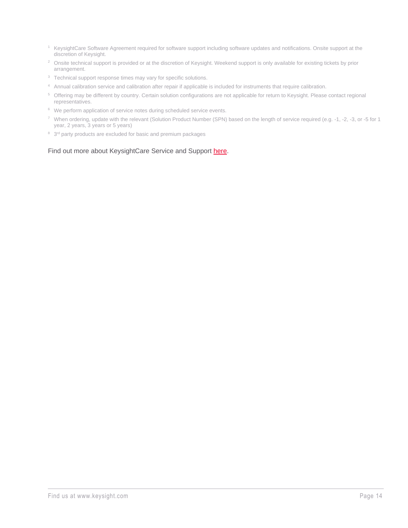- <sup>1</sup> KeysightCare Software Agreement required for software support including software updates and notifications. Onsite support at the discretion of Keysight.
- <sup>2</sup> Onsite technical support is provided or at the discretion of Keysight. Weekend support is only available for existing tickets by prior arrangement.
- <sup>3</sup> Technical support response times may vary for specific solutions.
- <sup>4</sup> Annual calibration service and calibration after repair if applicable is included for instruments that require calibration.
- <sup>5</sup> Offering may be different by country. Certain solution configurations are not applicable for return to Keysight. Please contact regional representatives.
- <sup>6</sup> We perform application of service notes during scheduled service events.
- <sup>7</sup> When ordering, update with the relevant (Solution Product Number (SPN) based on the length of service required (e.g. -1, -2, -3, or -5 for 1 year, 2 years, 3 years or 5 years)
- <sup>8</sup> 3<sup>rd</sup> party products are excluded for basic and premium packages

#### Find out more about KeysightCare Service and Support [here.](https://www.keysight.com/zz/en/products/services/keysightcare-service-and-support.html)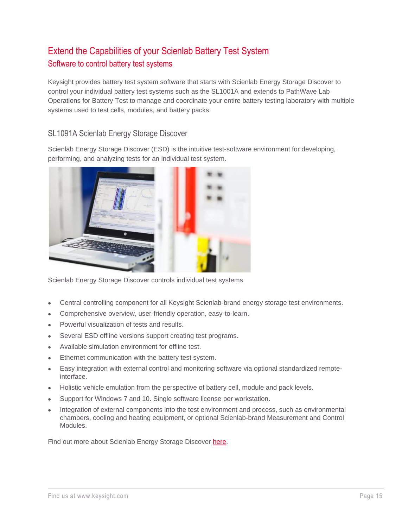# <span id="page-14-1"></span><span id="page-14-0"></span>Extend the Capabilities of your Scienlab Battery Test System Software to control battery test systems

Keysight provides battery test system software that starts with Scienlab Energy Storage Discover to control your individual battery test systems such as the SL1001A and extends to PathWave Lab Operations for Battery Test to manage and coordinate your entire battery testing laboratory with multiple systems used to test cells, modules, and battery packs.

# SL1091A Scienlab Energy Storage Discover

Scienlab Energy Storage Discover (ESD) is the intuitive test-software environment for developing, performing, and analyzing tests for an individual test system.



Scienlab Energy Storage Discover controls individual test systems

- Central controlling component for all Keysight Scienlab-brand energy storage test environments.
- Comprehensive overview, user-friendly operation, easy-to-learn.
- Powerful visualization of tests and results.
- Several ESD offline versions support creating test programs.
- Available simulation environment for offline test.
- Ethernet communication with the battery test system.
- Easy integration with external control and monitoring software via optional standardized remoteinterface.
- Holistic vehicle emulation from the perspective of battery cell, module and pack levels.
- Support for Windows 7 and 10. Single software license per workstation.
- Integration of external components into the test environment and process, such as environmental chambers, cooling and heating equipment, or optional Scienlab-brand Measurement and Control Modules.

Find out more about Scienlab Energy Storage Discover [here.](https://www.keysight.com/zz/en/products/hev-ev-grid-emulators-and-test-systems/sl1091a-scienlab-energy-storage-discover-software.html)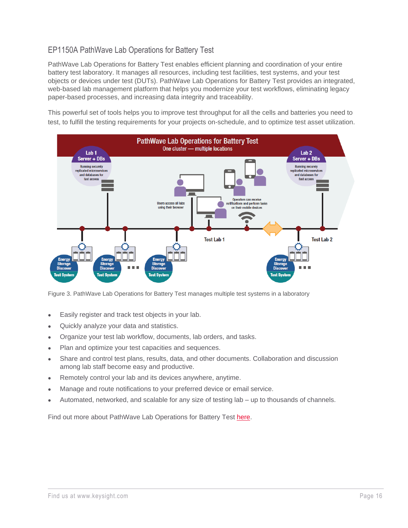# EP1150A PathWave Lab Operations for Battery Test

PathWave Lab Operations for Battery Test enables efficient planning and coordination of your entire battery test laboratory. It manages all resources, including test facilities, test systems, and your test objects or devices under test (DUTs). PathWave Lab Operations for Battery Test provides an integrated, web-based lab management platform that helps you modernize your test workflows, eliminating legacy paper-based processes, and increasing data integrity and traceability.

This powerful set of tools helps you to improve test throughput for all the cells and batteries you need to test, to fulfill the testing requirements for your projects on-schedule, and to optimize test asset utilization.



Figure 3. PathWave Lab Operations for Battery Test manages multiple test systems in a laboratory

- Easily register and track test objects in your lab.
- Quickly analyze your data and statistics.
- Organize your test lab workflow, documents, lab orders, and tasks.
- Plan and optimize your test capacities and sequences.
- Share and control test plans, results, data, and other documents. Collaboration and discussion among lab staff become easy and productive.
- Remotely control your lab and its devices anywhere, anytime.
- Manage and route notifications to your preferred device or email service.
- Automated, networked, and scalable for any size of testing lab up to thousands of channels.

Find out more about PathWave Lab Operations for Battery Test [here.](https://www.keysight.com/zz/en/products/hev-ev-grid-emulators-and-test-systems/ep1150a-pathwave-lab-operations-for-battery-test.html)